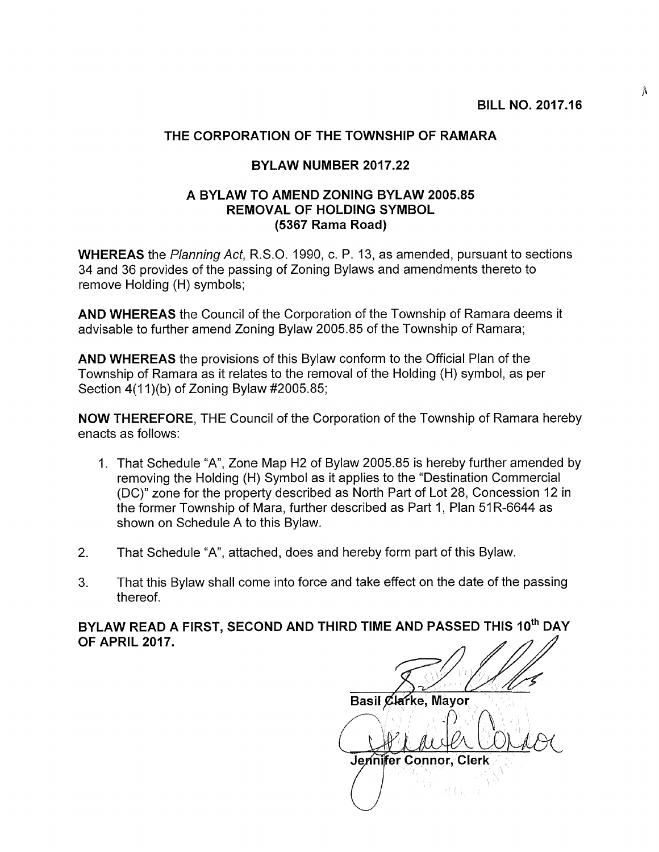Â

## THE CORPORATION OF THE TOWNSHIP OF RAMARA

## BYLAW NUMBER 2017.22

## A BYLAW TO AMEND ZONING BYLAW 2005.85 REMOVAL OF HOLDING SYMBOL (5367 Rama Road)

WHEREAS the Planning Act, R.S.O. 1990, c. P. 13, as amended, pursuant to sections 34 and 36 provides of the passing of Zoning Bylaws and amendments thereto to remove Holding (H) symbols;

AND WHEREAS the Council of the Corporation of the Township of Ramara deems it advisable to further amend Zoning Bylaw 2005.85 of the Township of Ramara;

AND WHEREAS the provisions of this Bylaw conform to the Official Plan of the Township of Ramara as it relates to the removal of the Holding (H) symbol, as per Section  $4(11)(b)$  of Zoning Bylaw #2005.85;

NOW THEREFORE, THE Council of the Corporation of the Township of Ramara hereby enacts as follows:

- 1. That Schedule "A", Zone Map H2 of Bylaw 2005.85 is hereby further amended by removing the Holding (H) Symbol as it applies to the "Destination Commercial (DC)" zone for the property described as North Part of Lot 28, Concession 12 in the former Township of Mara, further described as Part 1, Plan 51R-6644 as shown on Schedule A to this Bylaw.
- 2. That Schedule "A", attached, does and hereby form part of this Bylaw.
- 3. That this Bylaw shall come into force and take effect on the date of the passing thereof.

BYLAW READ A FIRST, SECOND AND THIRD TIME AND PASSED THIS 10<sup>th</sup> DAY OF APRIL 2017.

Basil Clarke, Mayor Qeraile Co  $($   $\bigcup_{i=1}^{n}$  in the Coras Jennifer Connor, Clerk 1111